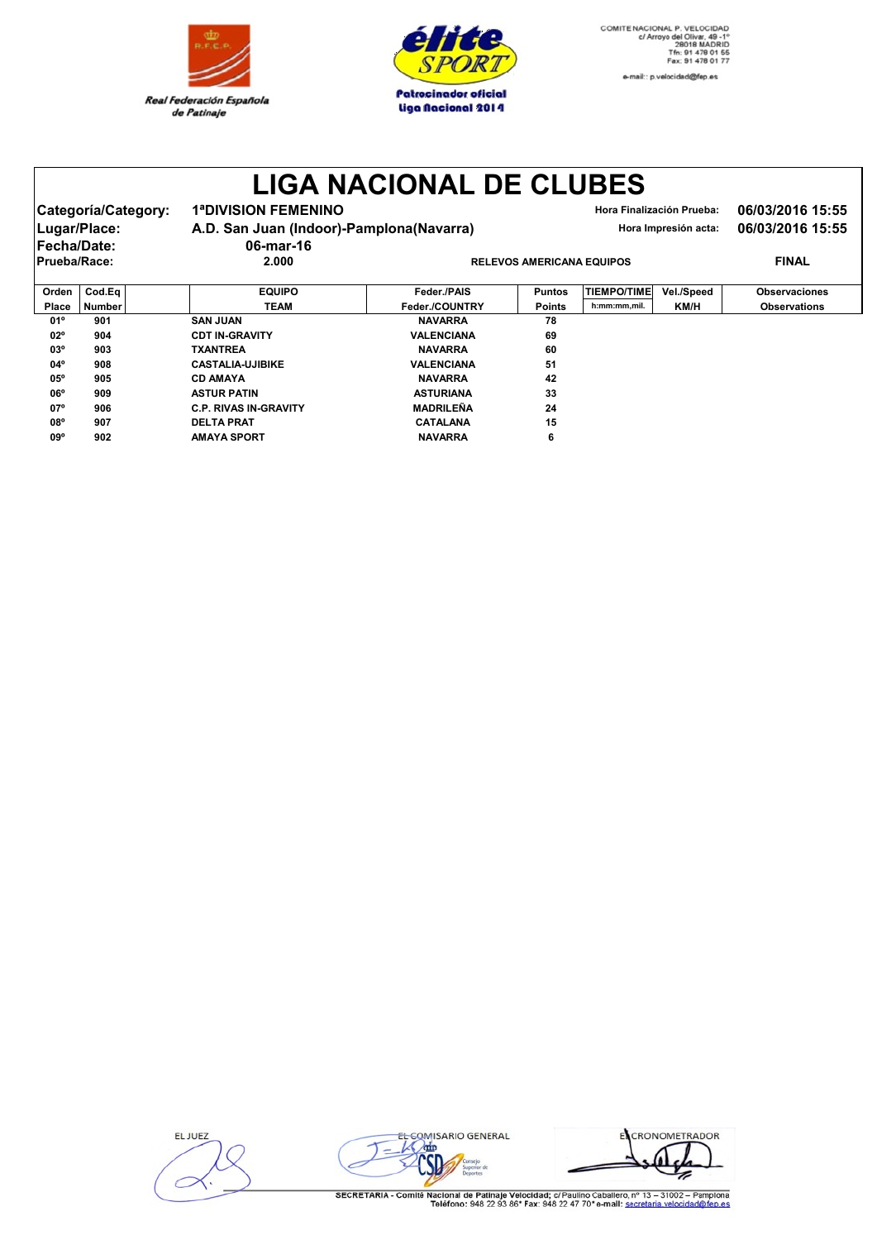



e-mail:: p.velocidad@fep.es

## **LIGA NACIONAL DE CLUBES**

| Categoría/Category:<br>Lugar/Place: | <b>1ªDIVISION FEMENINO</b><br>A.D. San Juan (Indoor)-Pamplona(Navarra) |                                  |              | 06/03/2016 15:55<br>06/03/2016 15:55 |  |  |
|-------------------------------------|------------------------------------------------------------------------|----------------------------------|--------------|--------------------------------------|--|--|
| <b>Fecha/Date:</b>                  | 06-mar-16                                                              |                                  |              |                                      |  |  |
| <b>Prueba/Race:</b>                 | 2.000                                                                  | <b>RELEVOS AMERICANA EQUIPOS</b> | <b>FINAL</b> |                                      |  |  |
|                                     |                                                                        |                                  |              |                                      |  |  |

| Orden        | $\textsf{Cod.Eq}\parallel$ | <b>EQUIPO</b>                | Feder./PAIS       | <b>Puntos</b> | <b>TIEMPO/TIME</b> | Vel./Speed  | <b>Observaciones</b> |
|--------------|----------------------------|------------------------------|-------------------|---------------|--------------------|-------------|----------------------|
| Place        | <b>Number</b>              | TEAM                         | Feder./COUNTRY    | <b>Points</b> | h:mm:mm,mil.       | <b>KM/H</b> | <b>Observations</b>  |
| $01^{\circ}$ | 901                        | <b>SAN JUAN</b>              | <b>NAVARRA</b>    | 78            |                    |             |                      |
| $02^{\circ}$ | 904                        | <b>CDT IN-GRAVITY</b>        | <b>VALENCIANA</b> | 69            |                    |             |                      |
| $03^{\circ}$ | 903                        | <b>TXANTREA</b>              | <b>NAVARRA</b>    | 60            |                    |             |                      |
| $04^{\circ}$ | 908                        | <b>CASTALIA-UJIBIKE</b>      | <b>VALENCIANA</b> | 51            |                    |             |                      |
| $05^{\circ}$ | 905                        | <b>CD AMAYA</b>              | <b>NAVARRA</b>    | 42            |                    |             |                      |
| $06^{\circ}$ | 909                        | <b>ASTUR PATIN</b>           | <b>ASTURIANA</b>  | 33            |                    |             |                      |
| $07^{\circ}$ | 906                        | <b>C.P. RIVAS IN-GRAVITY</b> | <b>MADRILEÑA</b>  | 24            |                    |             |                      |
| 08°          | 907                        | <b>DELTA PRAT</b>            | <b>CATALANA</b>   | 15            |                    |             |                      |
| 09°          | 902                        | <b>AMAYA SPORT</b>           | <b>NAVARRA</b>    | 6             |                    |             |                      |

**ELJUEZ** 



ECRONOMETRADOR ⋝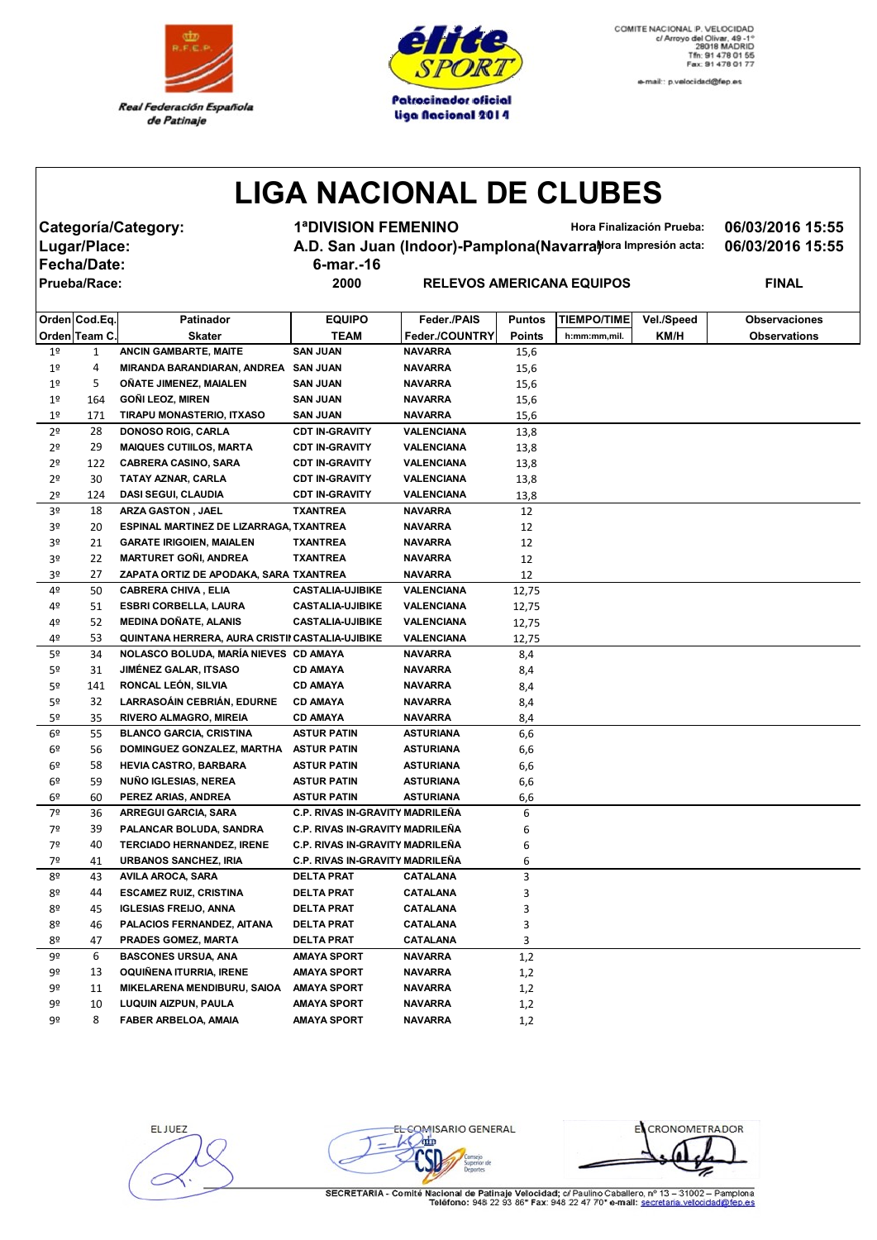



e-mail:: p.velocidad@fep.es

## **LIGA NACIONAL DE CLUBES**

**Fecha/Date: 6-mar.-16**

**Categoría/Category: 1ªDIVISION FEMENINO Hora Finalización Prueba: 06/03/2016 15:55** Lugar/Place: **A.D. San Juan (Indoor)-Pamplona(Navarra)***Hora Impresión acta:* **06/03/2016 15:55** 

 $R$  **PRODUS AMERICANA EQUIPOS FINAL** 

|                | Orden Cod.Eq. | Patinador                                       | <b>EQUIPO</b>                          | Feder./PAIS       | <b>Puntos</b> | <b>TIEMPO/TIME</b> | Vel./Speed | <b>Observaciones</b> |
|----------------|---------------|-------------------------------------------------|----------------------------------------|-------------------|---------------|--------------------|------------|----------------------|
|                | Orden Team C. | <b>Skater</b>                                   | <b>TEAM</b>                            | Feder./COUNTRY    | <b>Points</b> | h:mm:mm,mil.       | KM/H       | <b>Observations</b>  |
| 1 <sup>o</sup> | 1             | ANCIN GAMBARTE, MAITE                           | <b>SAN JUAN</b>                        | <b>NAVARRA</b>    | 15,6          |                    |            |                      |
| 1 <sup>°</sup> | 4             | MIRANDA BARANDIARAN, ANDREA SAN JUAN            |                                        | <b>NAVARRA</b>    | 15,6          |                    |            |                      |
| 1 <sup>°</sup> | 5             | <b>ONATE JIMENEZ, MAIALEN</b>                   | <b>SAN JUAN</b>                        | <b>NAVARRA</b>    | 15,6          |                    |            |                      |
| 1 <sup>°</sup> | 164           | <b>GONI LEOZ, MIREN</b>                         | <b>SAN JUAN</b>                        | <b>NAVARRA</b>    | 15,6          |                    |            |                      |
| 1 <sup>°</sup> | 171           | TIRAPU MONASTERIO, ITXASO                       | <b>SAN JUAN</b>                        | <b>NAVARRA</b>    | 15,6          |                    |            |                      |
| 2 <sup>o</sup> | 28            | <b>DONOSO ROIG, CARLA</b>                       | <b>CDT IN-GRAVITY</b>                  | <b>VALENCIANA</b> | 13,8          |                    |            |                      |
| 2º             | 29            | <b>MAIQUES CUTILOS, MARTA</b>                   | <b>CDT IN-GRAVITY</b>                  | VALENCIANA        | 13,8          |                    |            |                      |
| 2 <sup>o</sup> | 122           | <b>CABRERA CASINO, SARA</b>                     | <b>CDT IN-GRAVITY</b>                  | VALENCIANA        | 13,8          |                    |            |                      |
| 2º             | 30            | TATAY AZNAR, CARLA                              | <b>CDT IN-GRAVITY</b>                  | VALENCIANA        | 13,8          |                    |            |                      |
| 2º             | 124           | <b>DASI SEGUI, CLAUDIA</b>                      | <b>CDT IN-GRAVITY</b>                  | VALENCIANA        | 13,8          |                    |            |                      |
| 3º             | 18            | <b>ARZA GASTON, JAEL</b>                        | TXANTREA                               | <b>NAVARRA</b>    | 12            |                    |            |                      |
| 3º             | 20            | ESPINAL MARTINEZ DE LIZARRAGA, TXANTREA         |                                        | <b>NAVARRA</b>    | 12            |                    |            |                      |
| 3º             | 21            | <b>GARATE IRIGOIEN, MAIALEN</b>                 | <b>TXANTREA</b>                        | <b>NAVARRA</b>    | 12            |                    |            |                      |
| 3º             | 22            | <b>MARTURET GONI, ANDREA</b>                    | <b>TXANTREA</b>                        | <b>NAVARRA</b>    | 12            |                    |            |                      |
| 3º             | 27            | ZAPATA ORTIZ DE APODAKA, SARA TXANTREA          |                                        | <b>NAVARRA</b>    | 12            |                    |            |                      |
| 4º             | 50            | <b>CABRERA CHIVA, ELIA</b>                      | <b>CASTALIA-UJIBIKE</b>                | <b>VALENCIANA</b> | 12,75         |                    |            |                      |
| 4º             | 51            | <b>ESBRI CORBELLA, LAURA</b>                    | <b>CASTALIA-UJIBIKE</b>                | <b>VALENCIANA</b> | 12,75         |                    |            |                      |
| 4º             | 52            | <b>MEDINA DONATE, ALANIS</b>                    | <b>CASTALIA-UJIBIKE</b>                | <b>VALENCIANA</b> | 12,75         |                    |            |                      |
| 4º             | 53            | QUINTANA HERRERA, AURA CRISTII CASTALIA-UJIBIKE |                                        | VALENCIANA        | 12,75         |                    |            |                      |
| 5º             | 34            | NOLASCO BOLUDA, MARÍA NIEVES CD AMAYA           |                                        | <b>NAVARRA</b>    | 8,4           |                    |            |                      |
| 5º             | 31            | JIMÉNEZ GALAR, ITSASO                           | <b>CD AMAYA</b>                        | <b>NAVARRA</b>    | 8,4           |                    |            |                      |
| 5º             | 141           | RONCAL LEÓN, SILVIA                             | <b>CD AMAYA</b>                        | <b>NAVARRA</b>    | 8,4           |                    |            |                      |
| 5º             | 32            | LARRASOÁIN CEBRIÁN, EDURNE                      | <b>CD AMAYA</b>                        | <b>NAVARRA</b>    | 8,4           |                    |            |                      |
| 5º             | 35            | RIVERO ALMAGRO, MIREIA                          | <b>CD AMAYA</b>                        | <b>NAVARRA</b>    | 8,4           |                    |            |                      |
| 6º             | 55            | <b>BLANCO GARCIA, CRISTINA</b>                  | <b>ASTUR PATIN</b>                     | <b>ASTURIANA</b>  | 6,6           |                    |            |                      |
| 6º             | 56            | DOMINGUEZ GONZALEZ, MARTHA                      | <b>ASTUR PATIN</b>                     | <b>ASTURIANA</b>  | 6,6           |                    |            |                      |
| 6º             | 58            | <b>HEVIA CASTRO, BARBARA</b>                    | <b>ASTUR PATIN</b>                     | ASTURIANA         | 6,6           |                    |            |                      |
| 6º             | 59            | NUÑO IGLESIAS, NEREA                            | <b>ASTUR PATIN</b>                     | <b>ASTURIANA</b>  | 6,6           |                    |            |                      |
| 6º             | 60            | PEREZ ARIAS, ANDREA                             | <b>ASTUR PATIN</b>                     | <b>ASTURIANA</b>  | 6,6           |                    |            |                      |
| 7º             | 36            | ARREGUI GARCIA, SARA                            | C.P. RIVAS IN-GRAVITY MADRILEÑA        |                   | 6             |                    |            |                      |
| 7º             | 39            | PALANCAR BOLUDA, SANDRA                         | <b>C.P. RIVAS IN-GRAVITY MADRILENA</b> |                   | 6             |                    |            |                      |
| 7º             | 40            | <b>TERCIADO HERNANDEZ, IRENE</b>                | C.P. RIVAS IN-GRAVITY MADRILEÑA        |                   | 6             |                    |            |                      |
| 7º             | 41            | <b>URBANOS SANCHEZ, IRIA</b>                    | C.P. RIVAS IN-GRAVITY MADRILEÑA        |                   | 6             |                    |            |                      |
| 8º             | 43            | <b>AVILA AROCA, SARA</b>                        | <b>DELTA PRAT</b>                      | <b>CATALANA</b>   | 3             |                    |            |                      |
| 82             | 44            | <b>ESCAMEZ RUIZ, CRISTINA</b>                   | <b>DELTA PRAT</b>                      | <b>CATALANA</b>   | 3             |                    |            |                      |
| 8º             | 45            | <b>IGLESIAS FREIJO, ANNA</b>                    | <b>DELTA PRAT</b>                      | CATALANA          | 3             |                    |            |                      |
| 80             | 46            | PALACIOS FERNANDEZ, AITANA                      | <b>DELTA PRAT</b>                      | <b>CATALANA</b>   | 3             |                    |            |                      |
| 8º             | 47            | PRADES GOMEZ, MARTA                             | <b>DELTA PRAT</b>                      | CATALANA          | 3             |                    |            |                      |
| 9º             | 6             | <b>BASCONES URSUA, ANA</b>                      | <b>AMAYA SPORT</b>                     | <b>NAVARRA</b>    | 1,2           |                    |            |                      |
| 9º             | 13            | OQUINENA ITURRIA, IRENE                         | AMAYA SPORT                            | <b>NAVARRA</b>    | 1,2           |                    |            |                      |
| 9º             | 11            | <b>MIKELARENA MENDIBURU, SAIOA</b>              | <b>AMAYA SPORT</b>                     | <b>NAVARRA</b>    | 1,2           |                    |            |                      |
| 9º             | 10            | LUQUIN AIZPUN, PAULA                            | <b>AMAYA SPORT</b>                     | <b>NAVARRA</b>    | 1,2           |                    |            |                      |
| 9º             | 8             | FABER ARBELOA, AMAIA                            | <b>AMAYA SPORT</b>                     | <b>NAVARRA</b>    | 1,2           |                    |            |                      |
|                |               |                                                 |                                        |                   |               |                    |            |                      |

EL JUEZ

EL COMISARIO GENERAL i de

ECRONOMETRADOR z

SECRETARIA - Comité Nacional de Patinaje Velocidad; c/ Paulino Caballero, nº 13 - 31002 - Pamplona<br>Teléfono: 948 22 93 86\* Fax: 948 22 47 70\* e-mail: secretaria.velocidad@fep.es